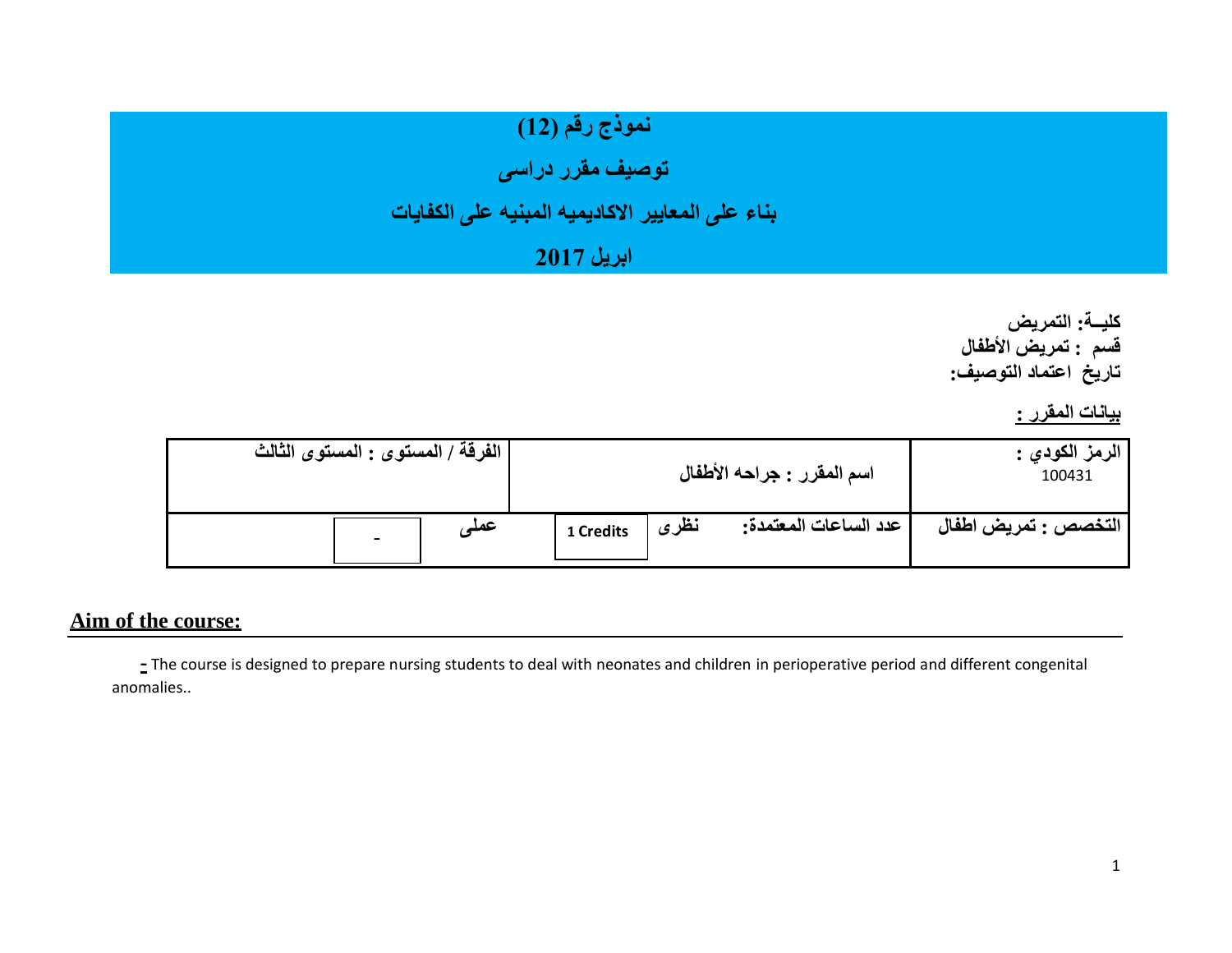# **نموذج رقم )12(**

**توصيف مقرر دراسى** 

## **بناء على المعايير االكاديميه المبنيه على الكفايات**

### **ابريل 2017**

**كليــة: التمريض قسم : تمريض األطفال تاريخ اعتماد التوصيف:**

**بيانات المقرر :** 

| الفرقة / المستوى : المستوى الثالث |           | اسم المقرر : جراحه الأطفال      | الرمز الكودي :<br>100431 |
|-----------------------------------|-----------|---------------------------------|--------------------------|
| -عملہ<br>-                        | 1 Credits | نظرى<br>  عدد الساعات المعتمدة: | التخصص : تمريض اطفال     |

#### **Aim of the course:**

**-** The course is designed to prepare nursing students to deal with neonates and children in perioperative period and different congenital anomalies..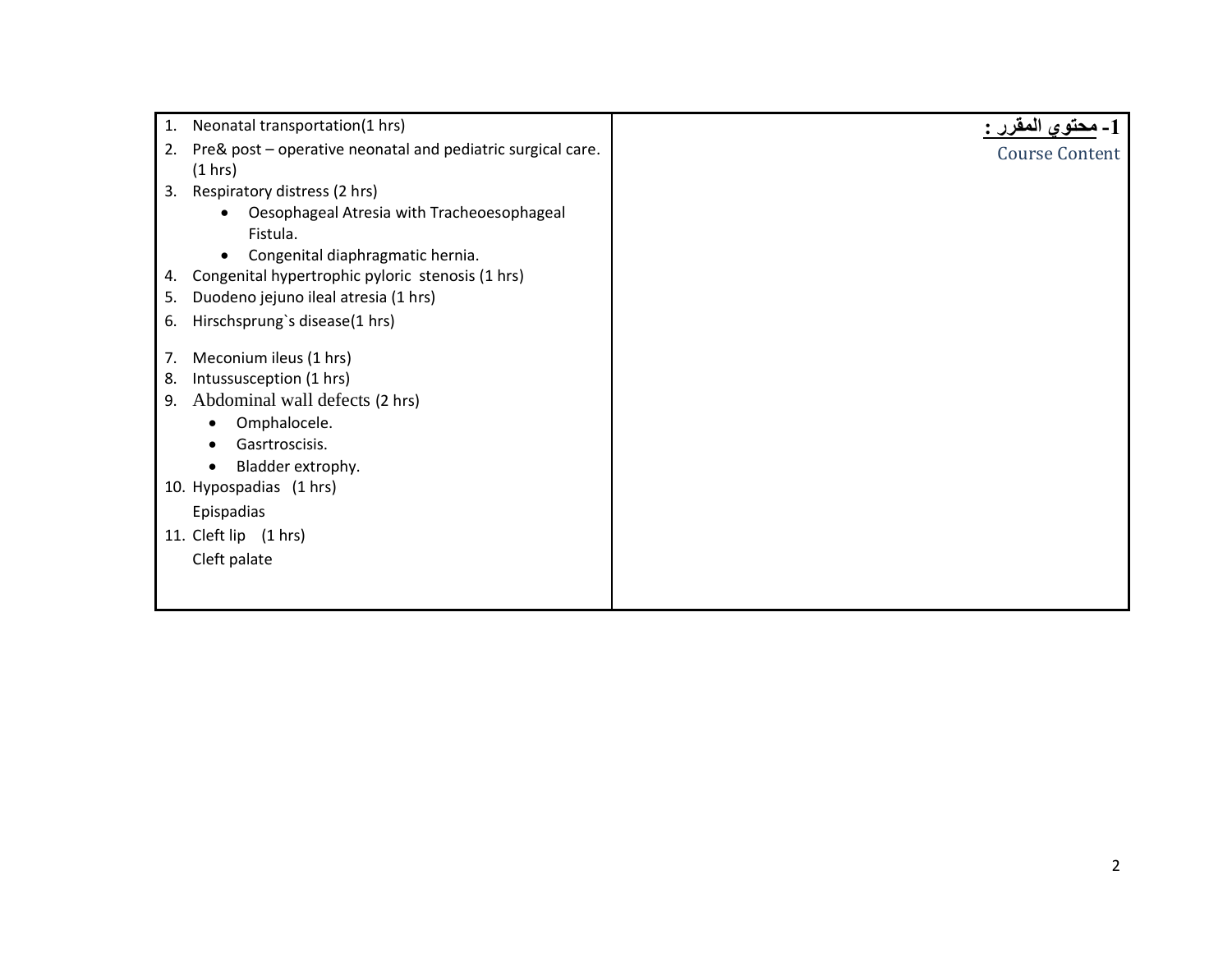| 1. | Neonatal transportation(1 hrs)                              |                       |
|----|-------------------------------------------------------------|-----------------------|
| 2. | Pre& post - operative neonatal and pediatric surgical care. | <b>Course Content</b> |
|    | (1 hrs)                                                     |                       |
| 3. | Respiratory distress (2 hrs)                                |                       |
|    | Oesophageal Atresia with Tracheoesophageal<br>$\bullet$     |                       |
|    | Fistula.                                                    |                       |
|    | Congenital diaphragmatic hernia.<br>$\bullet$               |                       |
| 4. | Congenital hypertrophic pyloric stenosis (1 hrs)            |                       |
| 5. | Duodeno jejuno ileal atresia (1 hrs)                        |                       |
| 6. | Hirschsprung's disease(1 hrs)                               |                       |
|    |                                                             |                       |
| 7. | Meconium ileus (1 hrs)                                      |                       |
| 8. | Intussusception (1 hrs)                                     |                       |
| 9. | Abdominal wall defects (2 hrs)                              |                       |
|    | Omphalocele.                                                |                       |
|    | Gasrtroscisis.                                              |                       |
|    | Bladder extrophy.                                           |                       |
|    | 10. Hypospadias (1 hrs)                                     |                       |
|    | Epispadias                                                  |                       |
|    | 11. Cleft lip (1 hrs)                                       |                       |
|    | Cleft palate                                                |                       |
|    |                                                             |                       |
|    |                                                             |                       |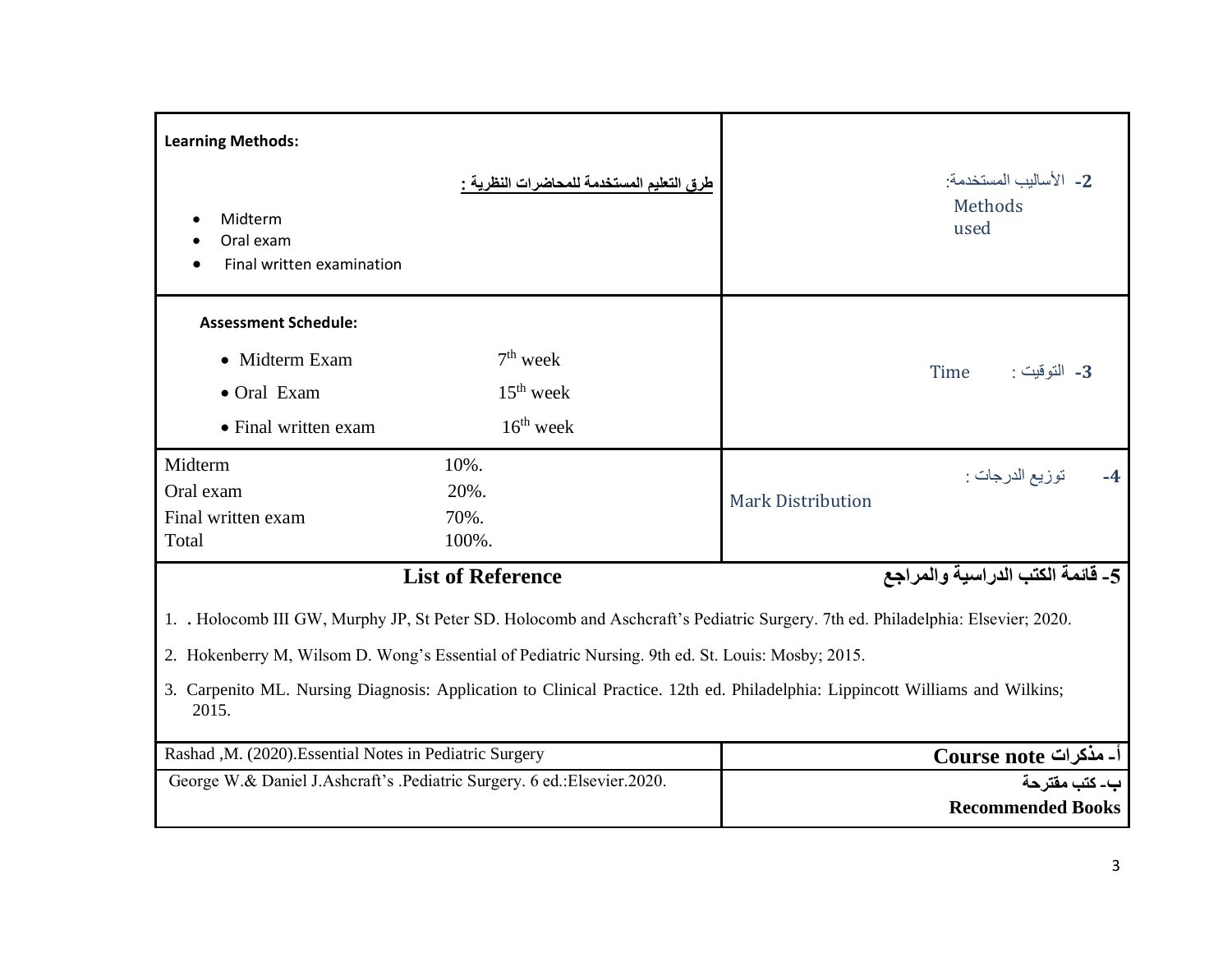| <b>Learning Methods:</b><br>Midterm<br>Oral exam<br>Final written examination                                                                                                                                                                                                                                                                                                                                                                | طرق التعليم المستخدمة للمحاضرات النظرية <u>:</u>                        | 2- الأساليب المستخدمة:<br>Methods<br>used                           |  |  |  |  |
|----------------------------------------------------------------------------------------------------------------------------------------------------------------------------------------------------------------------------------------------------------------------------------------------------------------------------------------------------------------------------------------------------------------------------------------------|-------------------------------------------------------------------------|---------------------------------------------------------------------|--|--|--|--|
| <b>Assessment Schedule:</b><br>• Midterm Exam<br>• Oral Exam<br>• Final written exam                                                                                                                                                                                                                                                                                                                                                         | $7th$ week<br>$15th$ week<br>$16th$ week                                | Time<br>3- التوقيت :                                                |  |  |  |  |
| Midterm<br>Oral exam<br>Final written exam<br>Total                                                                                                                                                                                                                                                                                                                                                                                          | 10%.<br>20%.<br>70%.<br>100%.                                           | توزيع الدرجات :<br>$-4$<br><b>Mark Distribution</b>                 |  |  |  |  |
| 5- قائمة الكتب الدراسية والمراجع<br><b>List of Reference</b><br>1. Holocomb III GW, Murphy JP, St Peter SD. Holocomb and Aschcraft's Pediatric Surgery. 7th ed. Philadelphia: Elsevier; 2020.<br>2. Hokenberry M, Wilsom D. Wong's Essential of Pediatric Nursing. 9th ed. St. Louis: Mosby; 2015.<br>3. Carpenito ML. Nursing Diagnosis: Application to Clinical Practice. 12th ed. Philadelphia: Lippincott Williams and Wilkins;<br>2015. |                                                                         |                                                                     |  |  |  |  |
| Rashad , M. (2020). Essential Notes in Pediatric Surgery                                                                                                                                                                                                                                                                                                                                                                                     | George W.& Daniel J.Ashcraft's .Pediatric Surgery. 6 ed.:Elsevier.2020. | أـ مذكرات Course note<br>ب۔ کتب مقتر حة<br><b>Recommended Books</b> |  |  |  |  |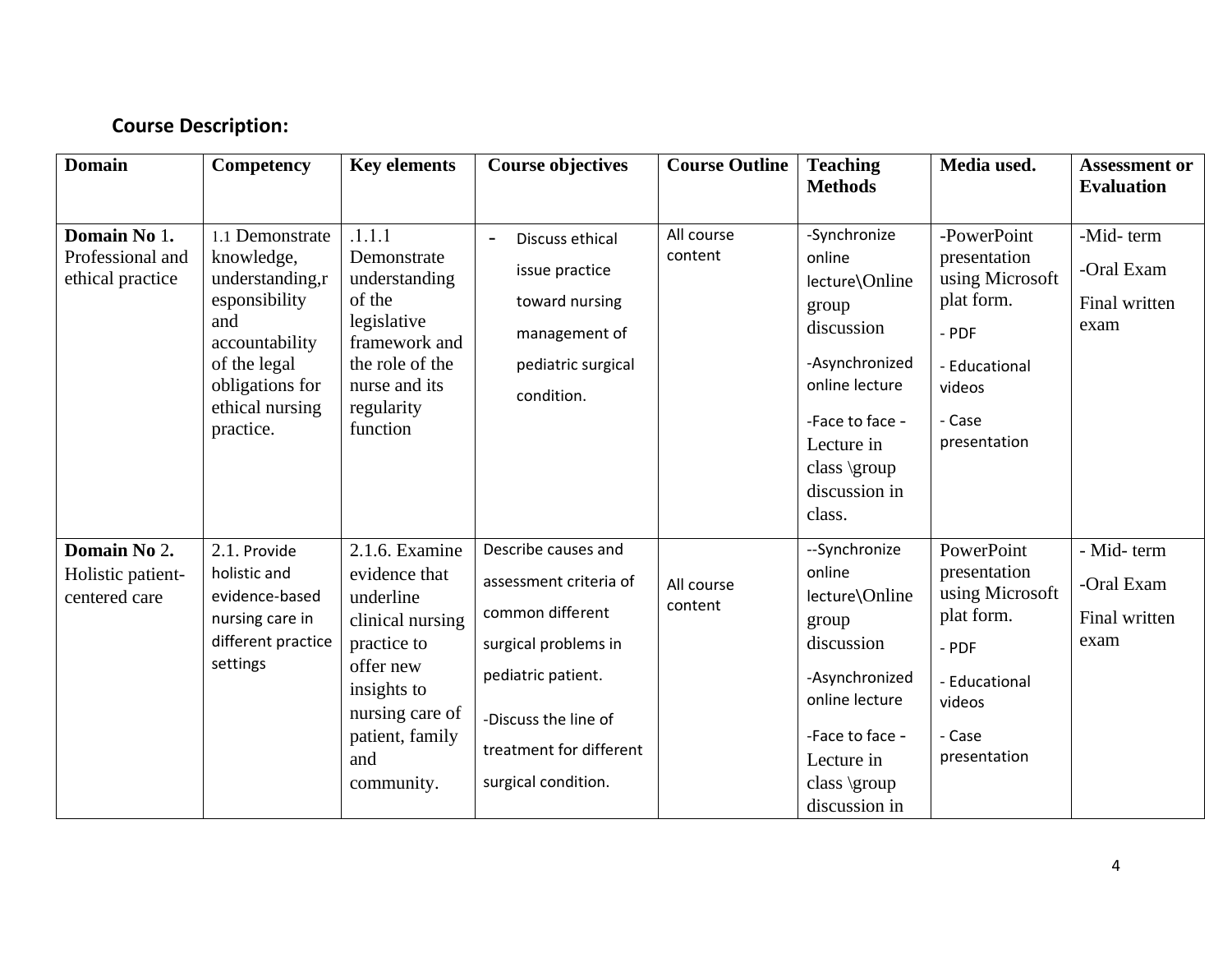#### **Course Description:**

| <b>Domain</b>                                        | Competency                                                                                                                                                    | <b>Key elements</b>                                                                                                                                                    | <b>Course objectives</b>                                                                                                                                                                  | <b>Course Outline</b> | <b>Teaching</b><br><b>Methods</b>                                                                                                                                               | Media used.                                                                                                                 | <b>Assessment or</b><br><b>Evaluation</b>         |
|------------------------------------------------------|---------------------------------------------------------------------------------------------------------------------------------------------------------------|------------------------------------------------------------------------------------------------------------------------------------------------------------------------|-------------------------------------------------------------------------------------------------------------------------------------------------------------------------------------------|-----------------------|---------------------------------------------------------------------------------------------------------------------------------------------------------------------------------|-----------------------------------------------------------------------------------------------------------------------------|---------------------------------------------------|
| Domain No 1.<br>Professional and<br>ethical practice | 1.1 Demonstrate<br>knowledge,<br>understanding,r<br>esponsibility<br>and<br>accountability<br>of the legal<br>obligations for<br>ethical nursing<br>practice. | .1.1.1<br>Demonstrate<br>understanding<br>of the<br>legislative<br>framework and<br>the role of the<br>nurse and its<br>regularity<br>function                         | Discuss ethical<br>$\overline{\phantom{a}}$<br>issue practice<br>toward nursing<br>management of<br>pediatric surgical<br>condition.                                                      | All course<br>content | -Synchronize<br>online<br>lecture\Online<br>group<br>discussion<br>-Asynchronized<br>online lecture<br>-Face to face -<br>Lecture in<br>class \group<br>discussion in<br>class. | -PowerPoint<br>presentation<br>using Microsoft<br>plat form.<br>- PDF<br>- Educational<br>videos<br>- Case<br>presentation  | -Mid-term<br>-Oral Exam<br>Final written<br>exam  |
| Domain No 2.<br>Holistic patient-<br>centered care   | 2.1. Provide<br>holistic and<br>evidence-based<br>nursing care in<br>different practice<br>settings                                                           | 2.1.6. Examine<br>evidence that<br>underline<br>clinical nursing<br>practice to<br>offer new<br>insights to<br>nursing care of<br>patient, family<br>and<br>community. | Describe causes and<br>assessment criteria of<br>common different<br>surgical problems in<br>pediatric patient.<br>-Discuss the line of<br>treatment for different<br>surgical condition. | All course<br>content | --Synchronize<br>online<br>lecture\Online<br>group<br>discussion<br>-Asynchronized<br>online lecture<br>-Face to face -<br>Lecture in<br>class \group<br>discussion in          | PowerPoint<br>presentation<br>using Microsoft<br>plat form.<br>$-$ PDF<br>- Educational<br>videos<br>- Case<br>presentation | - Mid-term<br>-Oral Exam<br>Final written<br>exam |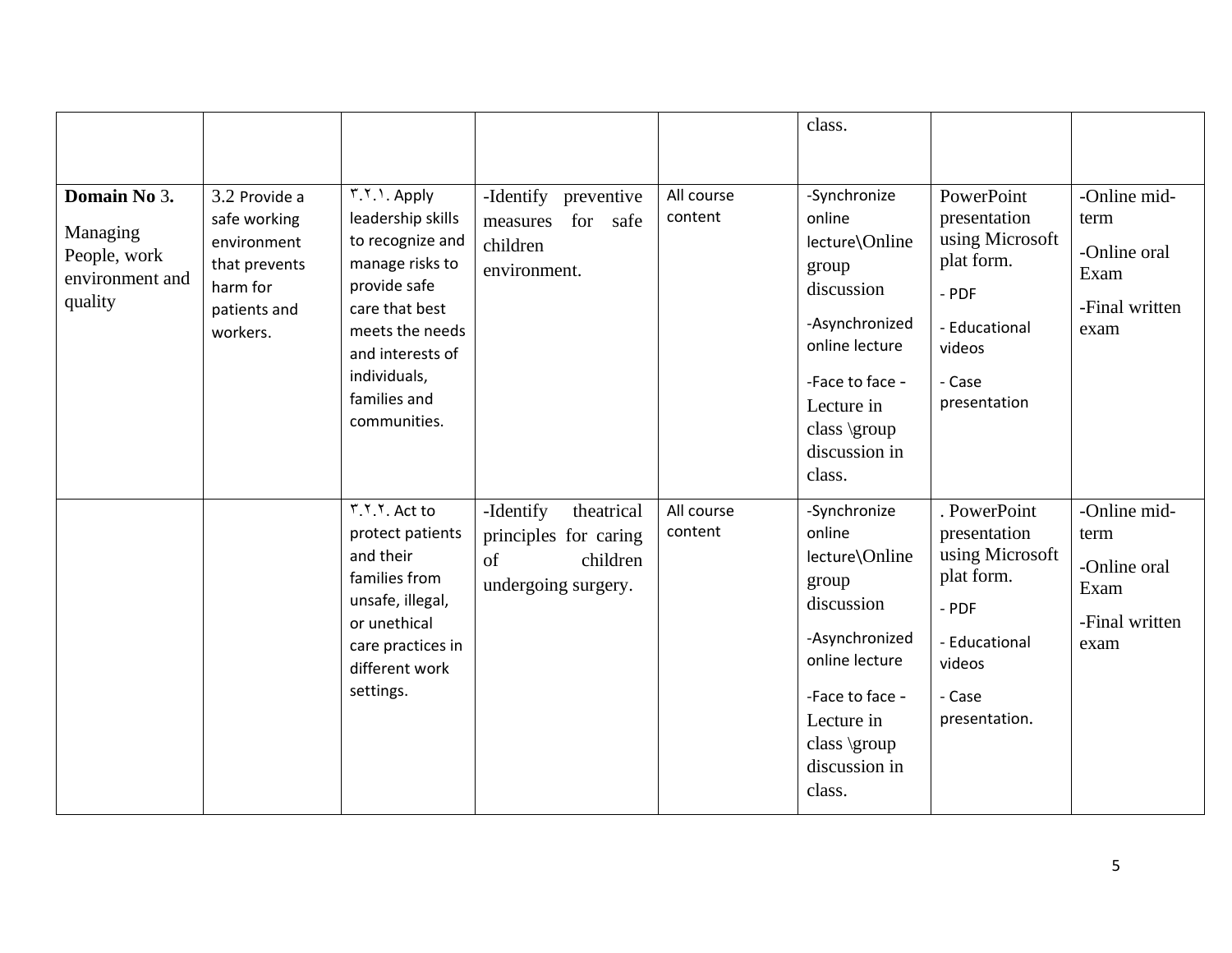|                                                                        |                                                                                                       |                                                                                                                                                                                                    |                                                                                           |                       | class.                                                                                                                                                                          |                                                                                                                              |                                                                        |
|------------------------------------------------------------------------|-------------------------------------------------------------------------------------------------------|----------------------------------------------------------------------------------------------------------------------------------------------------------------------------------------------------|-------------------------------------------------------------------------------------------|-----------------------|---------------------------------------------------------------------------------------------------------------------------------------------------------------------------------|------------------------------------------------------------------------------------------------------------------------------|------------------------------------------------------------------------|
| Domain No 3.<br>Managing<br>People, work<br>environment and<br>quality | 3.2 Provide a<br>safe working<br>environment<br>that prevents<br>harm for<br>patients and<br>workers. | r.v. \. Apply<br>leadership skills<br>to recognize and<br>manage risks to<br>provide safe<br>care that best<br>meets the needs<br>and interests of<br>individuals,<br>families and<br>communities. | -Identify preventive<br>for safe<br>measures<br>children<br>environment.                  | All course<br>content | -Synchronize<br>online<br>lecture\Online<br>group<br>discussion<br>-Asynchronized<br>online lecture<br>-Face to face -<br>Lecture in<br>class \group<br>discussion in<br>class. | PowerPoint<br>presentation<br>using Microsoft<br>plat form.<br>$-$ PDF<br>- Educational<br>videos<br>- Case<br>presentation  | -Online mid-<br>term<br>-Online oral<br>Exam<br>-Final written<br>exam |
|                                                                        |                                                                                                       | r.v.v. Act to<br>protect patients<br>and their<br>families from<br>unsafe, illegal,<br>or unethical<br>care practices in<br>different work<br>settings.                                            | -Identify<br>theatrical<br>principles for caring<br>of<br>children<br>undergoing surgery. | All course<br>content | -Synchronize<br>online<br>lecture\Online<br>group<br>discussion<br>-Asynchronized<br>online lecture<br>-Face to face -<br>Lecture in<br>class \group<br>discussion in<br>class. | . PowerPoint<br>presentation<br>using Microsoft<br>plat form.<br>- PDF<br>- Educational<br>videos<br>- Case<br>presentation. | -Online mid-<br>term<br>-Online oral<br>Exam<br>-Final written<br>exam |